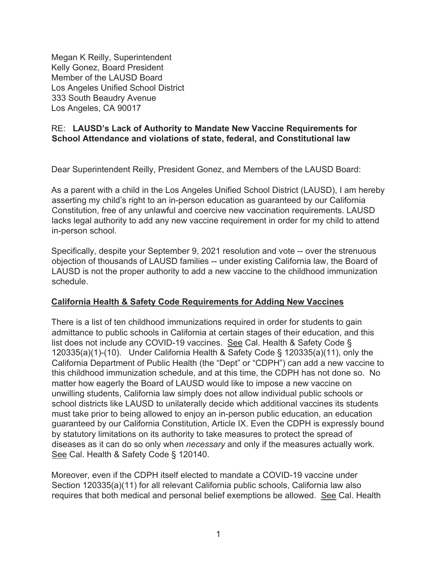Megan K Reilly, Superintendent Kelly Gonez, Board President Member of the LAUSD Board Los Angeles Unified School District 333 South Beaudry Avenue Los Angeles, CA 90017

## RE: **LAUSD's Lack of Authority to Mandate New Vaccine Requirements for School Attendance and violations of state, federal, and Constitutional law**

Dear Superintendent Reilly, President Gonez, and Members of the LAUSD Board:

As a parent with a child in the Los Angeles Unified School District (LAUSD), I am hereby asserting my child's right to an in-person education as guaranteed by our California Constitution, free of any unlawful and coercive new vaccination requirements. LAUSD lacks legal authority to add any new vaccine requirement in order for my child to attend in-person school.

Specifically, despite your September 9, 2021 resolution and vote -- over the strenuous objection of thousands of LAUSD families -- under existing California law, the Board of LAUSD is not the proper authority to add a new vaccine to the childhood immunization schedule.

## **California Health & Safety Code Requirements for Adding New Vaccines**

There is a list of ten childhood immunizations required in order for students to gain admittance to public schools in California at certain stages of their education, and this list does not include any COVID-19 vaccines. See Cal. Health & Safety Code § 120335(a)(1)-(10). Under California Health & Safety Code § 120335(a)(11), only the California Department of Public Health (the "Dept" or "CDPH") can add a new vaccine to this childhood immunization schedule, and at this time, the CDPH has not done so. No matter how eagerly the Board of LAUSD would like to impose a new vaccine on unwilling students, California law simply does not allow individual public schools or school districts like LAUSD to unilaterally decide which additional vaccines its students must take prior to being allowed to enjoy an in-person public education, an education guaranteed by our California Constitution, Article IX. Even the CDPH is expressly bound by statutory limitations on its authority to take measures to protect the spread of diseases as it can do so only when *necessary* and only if the measures actually work. See Cal. Health & Safety Code § 120140.

Moreover, even if the CDPH itself elected to mandate a COVID-19 vaccine under Section 120335(a)(11) for all relevant California public schools, California law also requires that both medical and personal belief exemptions be allowed. See Cal. Health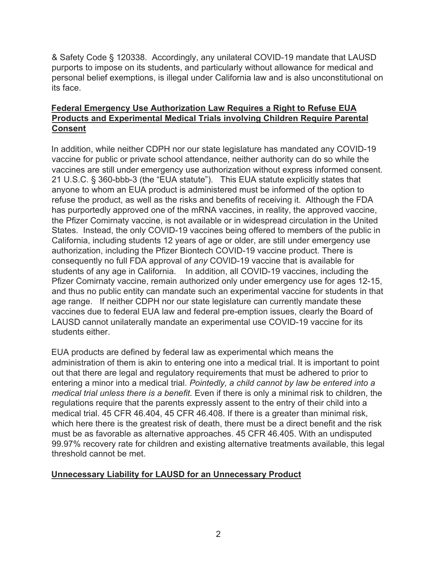& Safety Code § 120338. Accordingly, any unilateral COVID-19 mandate that LAUSD purports to impose on its students, and particularly without allowance for medical and personal belief exemptions, is illegal under California law and is also unconstitutional on its face.

## **Federal Emergency Use Authorization Law Requires a Right to Refuse EUA Products and Experimental Medical Trials involving Children Require Parental Consent**

In addition, while neither CDPH nor our state legislature has mandated any COVID-19 vaccine for public or private school attendance, neither authority can do so while the vaccines are still under emergency use authorization without express informed consent. 21 U.S.C. § 360-bbb-3 (the "EUA statute"). This EUA statute explicitly states that anyone to whom an EUA product is administered must be informed of the option to refuse the product, as well as the risks and benefits of receiving it. Although the FDA has purportedly approved one of the mRNA vaccines, in reality, the approved vaccine, the Pfizer Comirnaty vaccine, is not available or in widespread circulation in the United States. Instead, the only COVID-19 vaccines being offered to members of the public in California, including students 12 years of age or older, are still under emergency use authorization, including the Pfizer Biontech COVID-19 vaccine product. There is consequently no full FDA approval of *any* COVID-19 vaccine that is available for students of any age in California. In addition, all COVID-19 vaccines, including the Pfizer Comirnaty vaccine, remain authorized only under emergency use for ages 12-15, and thus no public entity can mandate such an experimental vaccine for students in that age range. If neither CDPH nor our state legislature can currently mandate these vaccines due to federal EUA law and federal pre-emption issues, clearly the Board of LAUSD cannot unilaterally mandate an experimental use COVID-19 vaccine for its students either.

EUA products are defined by federal law as experimental which means the administration of them is akin to entering one into a medical trial. It is important to point out that there are legal and regulatory requirements that must be adhered to prior to entering a minor into a medical trial. *Pointedly, a child cannot by law be entered into a medical trial unless there is a benefit.* Even if there is only a minimal risk to children, the regulations require that the parents expressly assent to the entry of their child into a medical trial. 45 CFR 46.404, 45 CFR 46.408. If there is a greater than minimal risk, which here there is the greatest risk of death, there must be a direct benefit and the risk must be as favorable as alternative approaches. 45 CFR 46.405. With an undisputed 99.97% recovery rate for children and existing alternative treatments available, this legal threshold cannot be met.

## **Unnecessary Liability for LAUSD for an Unnecessary Product**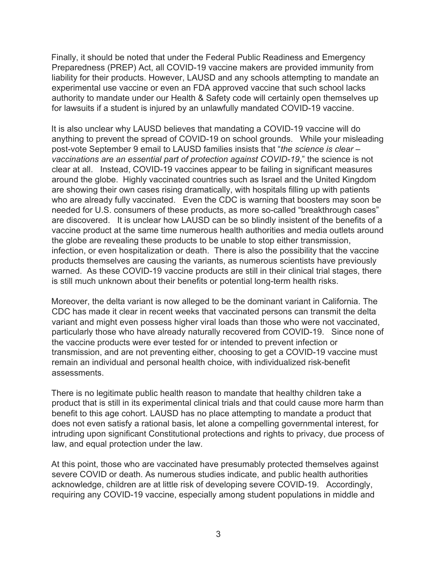Finally, it should be noted that under the Federal Public Readiness and Emergency Preparedness (PREP) Act, all COVID-19 vaccine makers are provided immunity from liability for their products. However, LAUSD and any schools attempting to mandate an experimental use vaccine or even an FDA approved vaccine that such school lacks authority to mandate under our Health & Safety code will certainly open themselves up for lawsuits if a student is injured by an unlawfully mandated COVID-19 vaccine.

It is also unclear why LAUSD believes that mandating a COVID-19 vaccine will do anything to prevent the spread of COVID-19 on school grounds. While your misleading post-vote September 9 email to LAUSD families insists that "*the science is clear – vaccinations are an essential part of protection against COVID-19*," the science is not clear at all. Instead, COVID-19 vaccines appear to be failing in significant measures around the globe. Highly vaccinated countries such as Israel and the United Kingdom are showing their own cases rising dramatically, with hospitals filling up with patients who are already fully vaccinated. Even the CDC is warning that boosters may soon be needed for U.S. consumers of these products, as more so-called "breakthrough cases" are discovered. It is unclear how LAUSD can be so blindly insistent of the benefits of a vaccine product at the same time numerous health authorities and media outlets around the globe are revealing these products to be unable to stop either transmission, infection, or even hospitalization or death. There is also the possibility that the vaccine products themselves are causing the variants, as numerous scientists have previously warned. As these COVID-19 vaccine products are still in their clinical trial stages, there is still much unknown about their benefits or potential long-term health risks.

Moreover, the delta variant is now alleged to be the dominant variant in California. The CDC has made it clear in recent weeks that vaccinated persons can transmit the delta variant and might even possess higher viral loads than those who were not vaccinated, particularly those who have already naturally recovered from COVID-19. Since none of the vaccine products were ever tested for or intended to prevent infection or transmission, and are not preventing either, choosing to get a COVID-19 vaccine must remain an individual and personal health choice, with individualized risk-benefit assessments.

There is no legitimate public health reason to mandate that healthy children take a product that is still in its experimental clinical trials and that could cause more harm than benefit to this age cohort. LAUSD has no place attempting to mandate a product that does not even satisfy a rational basis, let alone a compelling governmental interest, for intruding upon significant Constitutional protections and rights to privacy, due process of law, and equal protection under the law.

At this point, those who are vaccinated have presumably protected themselves against severe COVID or death. As numerous studies indicate, and public health authorities acknowledge, children are at little risk of developing severe COVID-19. Accordingly, requiring any COVID-19 vaccine, especially among student populations in middle and